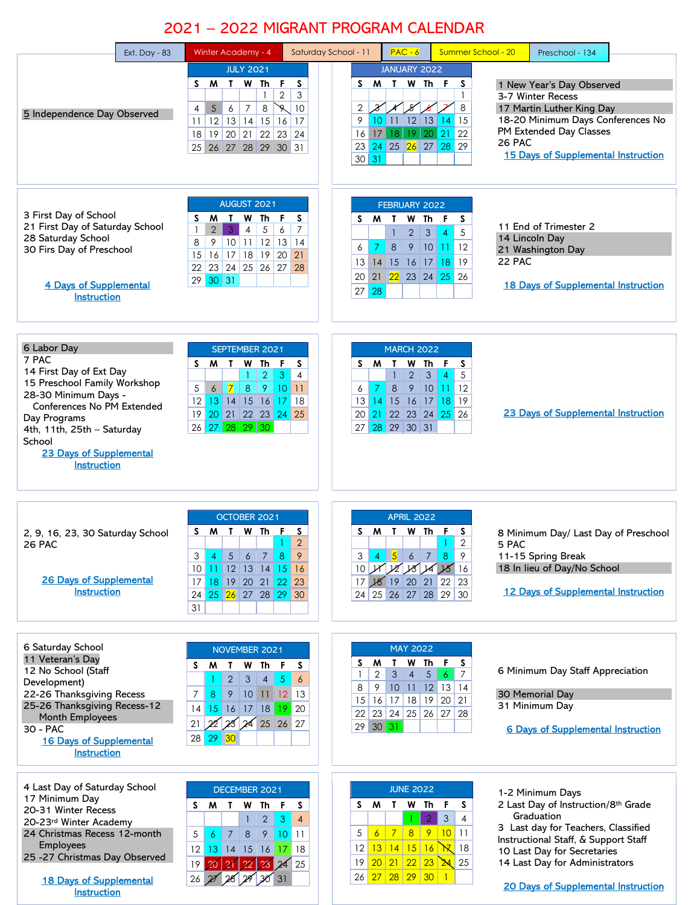## 2021 – 2022 MIGRANT PROGRAM CALENDAR

| Ext. Day - $83$                                                                                                                                                                                                                                | Winter Academy - 4                                                                                                                                                                                                                                                                            | $PAC - 6$<br>Saturday School - 11                                                                                                                                                                                      | Summer School - 20<br>Preschool - 134                                                                                                                                                                                                                                                               |
|------------------------------------------------------------------------------------------------------------------------------------------------------------------------------------------------------------------------------------------------|-----------------------------------------------------------------------------------------------------------------------------------------------------------------------------------------------------------------------------------------------------------------------------------------------|------------------------------------------------------------------------------------------------------------------------------------------------------------------------------------------------------------------------|-----------------------------------------------------------------------------------------------------------------------------------------------------------------------------------------------------------------------------------------------------------------------------------------------------|
| 5 Independence Day Observed                                                                                                                                                                                                                    | <b>JULY 2021</b><br>F<br>S M<br>$\mathbf{T}$<br>W Th<br>S<br>$\overline{2}$<br>3<br>$\mathbf{1}$<br>5<br>$\overline{7}$<br>$\mathscr{R}$<br>6<br>8<br>10<br>4<br> 12 <br>13 14 15 16 17<br>11<br>18 19 20 21 22 23 24<br>26 27 28 29 30 31<br>25                                              | JANUARY 2022<br>S M T<br>W Th F<br>℅<br>$\mathcal{X}$<br>2<br>10 11 12 13 14 15<br>9<br>16 17 18 19 20 21 22<br>23 24 25 26 27 28 29<br>$30\vert 31$                                                                   | S<br>1 New Year's Day Observed<br>$\mathbf{1}$<br>3-7 Winter Recess<br>17 Martin Luther King Day<br>8<br>18-20 Minimum Days Conferences No<br>PM Extended Day Classes<br>26 PAC<br><b>15 Days of Supplemental Instruction</b>                                                                       |
| 3 First Day of School<br>21 First Day of Saturday School<br>28 Saturday School<br>30 Firs Day of Preschool<br>4 Days of Supplemental<br><b>Instruction</b>                                                                                     | AUGUST 2021<br>M<br>$\mathbf{I}$<br>W Th<br>F.<br>S<br>S.<br>$\overline{7}$<br>$\mathbf{1}$<br>$\overline{2}$<br>$\mathbf{3}$<br>$\overline{4}$<br>5<br>6<br>9<br> 10 11 12 13 14<br>8<br>16 17 18 19 20 21<br>15<br>22 23 24 25 26 27 28<br>$29 \mid 30 \mid 31$                             | FEBRUARY 2022<br>S M T<br>W Th F<br>$\overline{2}$<br>$\mathbf{3}$<br>1<br>-4<br>$\overline{7}$<br>8<br>9<br>$\vert$ 10 $\vert$ 11<br>6<br>14 15 16 17 18 19<br>13<br>20 21 22 23 24 25 26<br>$27 \,   \, 28$          | S.<br>11 End of Trimester 2<br>5<br>14 Lincoln Day<br> 12<br>21 Washington Day<br>22 PAC<br><b>18 Days of Supplemental Instruction</b>                                                                                                                                                              |
| 6 Labor Day<br>7 PAC<br>14 First Day of Ext Day<br>15 Preschool Family Workshop<br>28-30 Minimum Days -<br>Conferences No PM Extended<br>Day Programs<br>4th, 11th, 25th - Saturday<br>School<br>23 Days of Supplemental<br><b>Instruction</b> | SEPTEMBER 2021<br>S M<br>$\mathbf{I}$<br>W Th F<br>S<br>$\overline{2}$<br>$\mathbf{3}$<br>1<br>4<br>$\overline{7}$<br>$8\phantom{1}$<br>-9<br> 10 11<br>5<br>6<br>13 14 15 16 17 18<br>12 <sup>1</sup><br>19 20 21 22 23 24 25<br>26 27 28 29 30                                              | <b>MARCH 2022</b><br><b>MTWThF</b><br>S.<br>$\overline{2}$<br>3<br>$\overline{4}$<br>$\overline{7}$<br> 10 11<br>8<br>9<br>6<br>13 14 15 16 17 18 19<br>20 21 22 23 24 25 26<br>27 28 29 30 31                         | S<br>5<br> 12<br>23 Days of Supplemental Instruction                                                                                                                                                                                                                                                |
| 2, 9, 16, 23, 30 Saturday School<br>26 PAC<br><b>26 Days of Supplemental</b><br><b>Instruction</b>                                                                                                                                             | OCTOBER 2021<br>S M T<br>W Th F<br>S<br>$\overline{2}$<br>3<br>7 <sup>1</sup><br>8<br>9<br>5<br>$\ddot{\phantom{0}}$<br>-4<br>10 11 12 13 14 15 16<br>18 19 20 21 22 23<br>17<br>25 26 27 28 29 30<br>24<br>31                                                                                | <b>APRIL 2022</b><br><b>M</b> T W Th F<br>S.<br>3 <sup>1</sup><br>$4 \overline{5}$<br>$6 \mid$<br>$7 \mid 8$<br>10 H 22 28 14 25 16<br>17 18 19 20 21 22 23<br>24 25 26 27 28 29 30                                    | S<br>8 Minimum Day/ Last Day of Preschool<br>2<br>5 PAC<br>9<br>11-15 Spring Break<br>18 In lieu of Day/No School<br><b>12 Days of Supplemental Instruction</b>                                                                                                                                     |
| 6 Saturday School<br>11 Veteran's Day<br>12 No School (Staff<br>Development)<br>22-26 Thanksgiving Recess<br>25-26 Thanksgiving Recess-12<br>Month Employees<br>30 - PAC<br><b>16 Days of Supplemental</b><br><b>Instruction</b>               | NOVEMBER 2021<br>W Th F<br><b>M</b><br>T<br>S.<br>S.<br>$\overline{2}$<br>$\mathfrak{S}$<br>$\sqrt{5}$<br>$\mathbf{1}$<br>$\overline{4}$<br>$\overline{6}$<br>8<br>9 10 11 12 13<br>$\overline{7}$<br>14 15 16 17 18 19 20<br>21 22 23 24 25 26 27<br>28 29 30                                | <b>MAY 2022</b><br>W<br>Th<br>M<br>L<br>S<br>$\overline{2}$<br>3<br>$\overline{4}$<br>$5\phantom{.0}$<br>$\vert\vert$ 6<br>1<br>8<br>9<br>$10$ 11 12 13 14<br>15 16 17 18 19 20 21<br>22 23 24 25 26 27 28<br>29 30 31 | F S<br>6 Minimum Day Staff Appreciation<br>$\overline{7}$<br>30 Memorial Day<br>31 Minimum Day<br><b>6 Days of Supplemental Instruction</b>                                                                                                                                                         |
| 4 Last Day of Saturday School<br>17 Minimum Day<br>20-31 Winter Recess<br>20-23rd Winter Academy<br>24 Christmas Recess 12-month<br><b>Employees</b><br>25 -27 Christmas Day Observed<br><b>18 Days of Supplemental</b><br><b>Instruction</b>  | DECEMBER 2021<br>W Th<br>F S<br>S<br>M T<br>$\overline{2}$<br>$\mathbf{3}$<br>1<br>$\overline{4}$<br>$10$ 11<br>5<br>$\overline{6}$<br>$\overline{7}$<br>$\bf 8$<br>9<br>$13$ 14 15 16<br>18<br>$12 \,$<br>17<br>$20 \mid 21 \mid 22$<br>2425<br>19<br>23<br>$30^{31}$<br>$26$ $27$ $28$ $29$ | <b>JUNE 2022</b><br>S M T W Th F<br>$\sqrt{2}$<br>8 9 10 11<br> 7 <br>5<br>$\overline{6}$<br>$13 14 15 16 \mathcal{X} 18$<br>12<br>20 21 22 23 24 25<br>19<br>26 27 28 29 30 1                                         | 1-2 Minimum Days<br>2 Last Day of Instruction/8th Grade<br>S<br>Graduation<br>$\mathbf{3}$<br>$\overline{4}$<br>3 Last day for Teachers, Classified<br>Instructional Staff, & Support Staff<br>10 Last Day for Secretaries<br>14 Last Day for Administrators<br>20 Days of Supplemental Instruction |